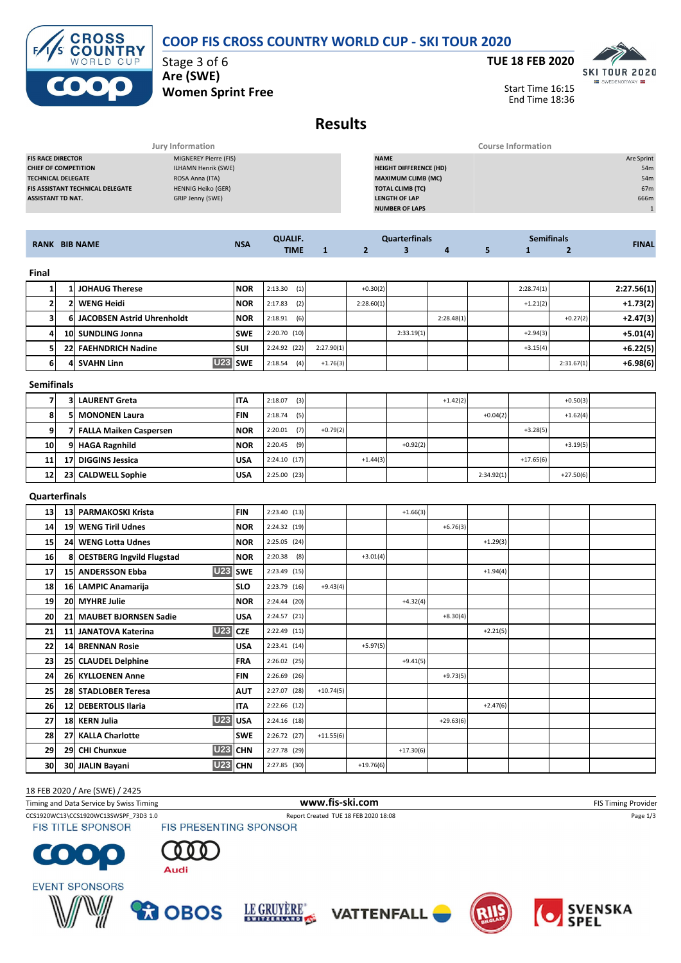## **COOP FIS CROSS COUNTRY WORLD CUP - SKI TOUR 2020**



Stage 3 of 6 **Are (SWE) Women Sprint Free**



Start Time 16:15 End Time 18:36

## **Results**

| Jury Information                        |                           |                               | <b>Course Information</b> |  |  |  |  |
|-----------------------------------------|---------------------------|-------------------------------|---------------------------|--|--|--|--|
| <b>FIS RACE DIRECTOR</b>                | MIGNEREY Pierre (FIS)     | <b>NAME</b>                   | Are Sprint                |  |  |  |  |
| <b>CHIEF OF COMPETITION</b>             | ILHAMN Henrik (SWE)       | <b>HEIGHT DIFFERENCE (HD)</b> | 54m                       |  |  |  |  |
| <b>TECHNICAL DELEGATE</b>               | ROSA Anna (ITA)           | <b>MAXIMUM CLIMB (MC)</b>     | 54m                       |  |  |  |  |
| <b>FIS ASSISTANT TECHNICAL DELEGATE</b> | <b>HENNIG Heiko (GER)</b> | <b>TOTAL CLIMB (TC)</b>       | 67m                       |  |  |  |  |
| <b>ASSISTANT TD NAT.</b>                | GRIP Jenny (SWE)          | <b>LENGTH OF LAP</b>          | 666m                      |  |  |  |  |
|                                         |                           | <b>NUMBER OF LAPS</b>         |                           |  |  |  |  |
|                                         |                           |                               |                           |  |  |  |  |

| <b>RANK BIB NAME</b> |                   | <b>NSA</b>                             | <b>QUALIF.</b> |                | <b>Quarterfinals</b> |            |            | <b>Semifinals</b> |              |                | <b>FINAL</b> |            |
|----------------------|-------------------|----------------------------------------|----------------|----------------|----------------------|------------|------------|-------------------|--------------|----------------|--------------|------------|
|                      |                   |                                        | <b>TIME</b>    | $\mathbf{1}$   | $\overline{2}$       | 3          | 4          | 5                 | $\mathbf{1}$ | $\overline{2}$ |              |            |
| Final                |                   |                                        |                |                |                      |            |            |                   |              |                |              |            |
| 1                    | 1                 | <b>JOHAUG Therese</b>                  | <b>NOR</b>     | 2:13.30<br>(1) |                      | $+0.30(2)$ |            |                   |              | 2:28.74(1)     |              | 2:27.56(1) |
| $\mathbf{2}$         |                   | 2 WENG Heidi                           | <b>NOR</b>     | 2:17.83<br>(2) |                      | 2:28.60(1) |            |                   |              | $+1.21(2)$     |              | $+1.73(2)$ |
| 3l                   | 61                | JACOBSEN Astrid Uhrenholdt             | <b>NOR</b>     | $2:18.91$ (6)  |                      |            |            | 2:28.48(1)        |              |                | $+0.27(2)$   | $+2.47(3)$ |
| 4                    |                   | 10 SUNDLING Jonna                      | <b>SWE</b>     | $2:20.70$ (10) |                      |            | 2:33.19(1) |                   |              | $+2.94(3)$     |              | $+5.01(4)$ |
| 5                    |                   | 22 FAEHNDRICH Nadine                   | <b>SUI</b>     | 2:24.92 (22)   | 2:27.90(1)           |            |            |                   |              | $+3.15(4)$     |              | $+6.22(5)$ |
| 6                    | 41                | U23 SWE<br><b>SVAHN Linn</b>           |                | $2:18.54$ (4)  | $+1.76(3)$           |            |            |                   |              |                | 2:31.67(1)   | $+6.98(6)$ |
|                      | <b>Semifinals</b> |                                        |                |                |                      |            |            |                   |              |                |              |            |
| 7                    | 31                | <b>LAURENT Greta</b>                   | <b>ITA</b>     | $2:18.07$ (3)  |                      |            |            | $+1.42(2)$        |              |                | $+0.50(3)$   |            |
| 8                    |                   | 5 MONONEN Laura                        | <b>FIN</b>     | 2:18.74<br>(5) |                      |            |            |                   | $+0.04(2)$   |                | $+1.62(4)$   |            |
| 9                    |                   | 7 FALLA Maiken Caspersen               | <b>NOR</b>     | (7)<br>2:20.01 | $+0.79(2)$           |            |            |                   |              | $+3.28(5)$     |              |            |
| 10                   |                   | 9 HAGA Ragnhild                        | <b>NOR</b>     | 2:20.45<br>(9) |                      |            | $+0.92(2)$ |                   |              |                | $+3.19(5)$   |            |
| 11                   | 17 <sup>1</sup>   | <b>DIGGINS Jessica</b>                 | <b>USA</b>     | $2:24.10$ (17) |                      | $+1.44(3)$ |            |                   |              | $+17.65(6)$    |              |            |
| 12                   |                   | 23 CALDWELL Sophie                     | <b>USA</b>     | $2:25.00$ (23) |                      |            |            |                   | 2:34.92(1)   |                | $+27.50(6)$  |            |
|                      | Quarterfinals     |                                        |                |                |                      |            |            |                   |              |                |              |            |
| 13                   |                   | 13 PARMAKOSKI Krista                   | <b>FIN</b>     | 2:23.40(13)    |                      |            | $+1.66(3)$ |                   |              |                |              |            |
| 14                   |                   | 19 WENG Tiril Udnes                    | <b>NOR</b>     | 2:24.32 (19)   |                      |            |            | $+6.76(3)$        |              |                |              |            |
| 15                   |                   | 24 WENG Lotta Udnes                    | <b>NOR</b>     | 2:25.05 (24)   |                      |            |            |                   | $+1.29(3)$   |                |              |            |
| 16                   | 8                 | <b>OESTBERG Ingvild Flugstad</b>       | <b>NOR</b>     | $2:20.38$ (8)  |                      | $+3.01(4)$ |            |                   |              |                |              |            |
| 17                   |                   | <b>U23</b><br><b>15 ANDERSSON Ebba</b> | <b>SWE</b>     | 2:23.49 (15)   |                      |            |            |                   | $+1.94(4)$   |                |              |            |
| 18                   |                   | 16 LAMPIC Anamarija                    | <b>SLO</b>     | $2:23.79$ (16) | $+9.43(4)$           |            |            |                   |              |                |              |            |
| 19                   |                   | 20 MYHRE Julie                         | <b>NOR</b>     | $2:24.44$ (20) |                      |            | $+4.32(4)$ |                   |              |                |              |            |
| <b>20</b>            |                   | 21 MAUBET BJORNSEN Sadie               | <b>USA</b>     | 2:24.57 (21)   |                      |            |            | $+8.30(4)$        |              |                |              |            |
| 21                   |                   | <b>U23 CZE</b><br>11 JANATOVA Katerina |                | 2:22.49 (11)   |                      |            |            |                   | $+2.21(5)$   |                |              |            |

## Timing and Data Service by Swiss Timing **WWW.fis-Ski.com www.fis-ski.com** FIS Timing Provider 18 FEB 2020 / Are (SWE) / 2425

**FIS TITLE SPONSOR** 

CCS1920WC13\CCS1920WC13SWSPF\_73D3 1.0 Report Created TUE 18 FEB 2020 18:08 Page 1/3<br>FIS TITLE SPONSOR FIS PRESENTING SPONSOR

**30 JIALIN Bayani U23 CHN** 2:27.85 (30)  $+19.76(6)$ 

**22 14 BRENNAN Rosie USA** 2:23.41 (14) +5.97(5)

**25 28 STADLOBER Teresa AUT**  $\begin{bmatrix} 2.27.07 & (28) \\ 2.27.07 & (28) \end{bmatrix}$  +10.74(5)

**28 27 KALLA Charlotte SWE**  $\begin{bmatrix} 2.26.72 & (27) \\ 2.26.72 & (27) \end{bmatrix}$  +11.55(6)

**23 25 CLAUDEL Delphine FRA** 2:26.02 (25) +9.41(5)

**29 CHI Chunxue U23 CHN**  $\begin{bmatrix} 2:27.78 & (29) \end{bmatrix}$  +17.30(6)

**24 26 KYLLOENEN Anne FIN** 2:26.69 (26) +9.73(5)

**27 18 KERN Julia U23 USA** 2:24.16 (18) +29.63(6)

**26 12 DEBERTOLIS Ilaria ITA** 2:22.66 (12) +2.47(6)

LE GRUYÈRE"













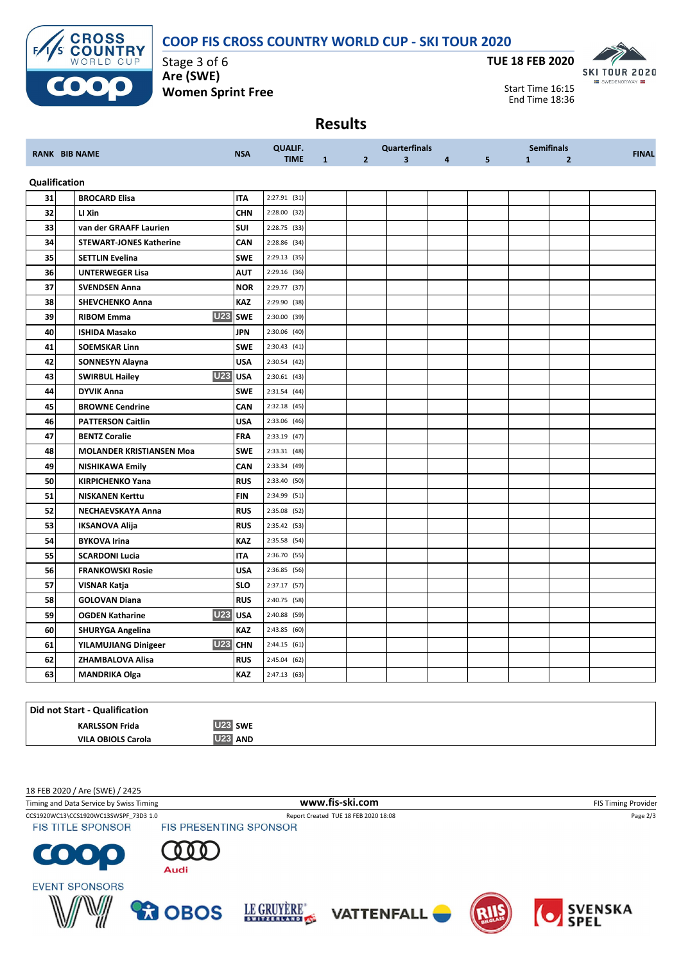**COOP FIS CROSS COUNTRY WORLD CUP - SKI TOUR 2020**



Stage 3 of 6 **Are (SWE) Women Sprint Free**



Start Time 16:15 End Time 18:36

## **Results**

|               |                                      |            | <b>QUALIF.</b> |              |                | <b>Quarterfinals</b>    |                |   |              | <b>Semifinals</b> |              |
|---------------|--------------------------------------|------------|----------------|--------------|----------------|-------------------------|----------------|---|--------------|-------------------|--------------|
|               | <b>RANK BIB NAME</b>                 | <b>NSA</b> | <b>TIME</b>    | $\mathbf{1}$ | $\overline{2}$ | $\overline{\mathbf{3}}$ | $\overline{4}$ | 5 | $\mathbf{1}$ | $\overline{2}$    | <b>FINAL</b> |
| Qualification |                                      |            |                |              |                |                         |                |   |              |                   |              |
| 31            | <b>BROCARD Elisa</b>                 | <b>ITA</b> | $2:27.91$ (31) |              |                |                         |                |   |              |                   |              |
| 32            | LI Xin                               | <b>CHN</b> | 2:28.00 (32)   |              |                |                         |                |   |              |                   |              |
| 33            | van der GRAAFF Laurien               | <b>SUI</b> | 2:28.75 (33)   |              |                |                         |                |   |              |                   |              |
| 34            | <b>STEWART-JONES Katherine</b>       | CAN        | 2:28.86 (34)   |              |                |                         |                |   |              |                   |              |
| 35            | <b>SETTLIN Evelina</b>               | <b>SWE</b> | $2:29.13$ (35) |              |                |                         |                |   |              |                   |              |
| 36            | <b>UNTERWEGER Lisa</b>               | <b>AUT</b> | 2:29.16 (36)   |              |                |                         |                |   |              |                   |              |
| 37            | <b>SVENDSEN Anna</b>                 | <b>NOR</b> | 2:29.77 (37)   |              |                |                         |                |   |              |                   |              |
| 38            | <b>SHEVCHENKO Anna</b>               | KAZ        | 2:29.90 (38)   |              |                |                         |                |   |              |                   |              |
| 39            | <b>U23</b><br><b>RIBOM Emma</b>      | <b>SWE</b> | 2:30.00 (39)   |              |                |                         |                |   |              |                   |              |
| 40            | <b>ISHIDA Masako</b>                 | <b>JPN</b> | 2:30.06 (40)   |              |                |                         |                |   |              |                   |              |
| 41            | <b>SOEMSKAR Linn</b>                 | <b>SWE</b> | 2:30.43(41)    |              |                |                         |                |   |              |                   |              |
| 42            | <b>SONNESYN Alayna</b>               | <b>USA</b> | 2:30.54 (42)   |              |                |                         |                |   |              |                   |              |
| 43            | <b>U23</b><br><b>SWIRBUL Hailey</b>  | <b>USA</b> | $2:30.61$ (43) |              |                |                         |                |   |              |                   |              |
| 44            | <b>DYVIK Anna</b>                    | <b>SWE</b> | 2:31.54(44)    |              |                |                         |                |   |              |                   |              |
| 45            | <b>BROWNE Cendrine</b>               | CAN        | $2:32.18$ (45) |              |                |                         |                |   |              |                   |              |
| 46            | <b>PATTERSON Caitlin</b>             | <b>USA</b> | 2:33.06 (46)   |              |                |                         |                |   |              |                   |              |
| 47            | <b>BENTZ Coralie</b>                 | <b>FRA</b> | $2:33.19$ (47) |              |                |                         |                |   |              |                   |              |
| 48            | <b>MOLANDER KRISTIANSEN Moa</b>      | <b>SWE</b> | 2:33.31 (48)   |              |                |                         |                |   |              |                   |              |
| 49            | <b>NISHIKAWA Emily</b>               | <b>CAN</b> | 2:33.34 (49)   |              |                |                         |                |   |              |                   |              |
| 50            | <b>KIRPICHENKO Yana</b>              | <b>RUS</b> | 2:33.40 (50)   |              |                |                         |                |   |              |                   |              |
| 51            | <b>NISKANEN Kerttu</b>               | <b>FIN</b> | 2:34.99 (51)   |              |                |                         |                |   |              |                   |              |
| 52            | NECHAEVSKAYA Anna                    | <b>RUS</b> | 2:35.08 (52)   |              |                |                         |                |   |              |                   |              |
| 53            | <b>IKSANOVA Alija</b>                | <b>RUS</b> | 2:35.42 (53)   |              |                |                         |                |   |              |                   |              |
| 54            | <b>BYKOVA Irina</b>                  | <b>KAZ</b> | 2:35.58 (54)   |              |                |                         |                |   |              |                   |              |
| 55            | <b>SCARDONI Lucia</b>                | <b>ITA</b> | 2:36.70 (55)   |              |                |                         |                |   |              |                   |              |
| 56            | <b>FRANKOWSKI Rosie</b>              | USA        | 2:36.85 (56)   |              |                |                         |                |   |              |                   |              |
| 57            | VISNAR Katja                         | <b>SLO</b> | 2:37.17 (57)   |              |                |                         |                |   |              |                   |              |
| 58            | <b>GOLOVAN Diana</b>                 | <b>RUS</b> | 2:40.75 (58)   |              |                |                         |                |   |              |                   |              |
| 59            | <b>U23</b><br><b>OGDEN Katharine</b> | <b>USA</b> | 2:40.88 (59)   |              |                |                         |                |   |              |                   |              |
| 60            | <b>SHURYGA Angelina</b>              | KAZ        | 2:43.85 (60)   |              |                |                         |                |   |              |                   |              |
| 61            | <b>U23</b><br>YILAMUJIANG Dinigeer   | <b>CHN</b> | 2:44.15(61)    |              |                |                         |                |   |              |                   |              |
| 62            | ZHAMBALOVA Alisa                     | <b>RUS</b> | 2:45.04 (62)   |              |                |                         |                |   |              |                   |              |
| 63            | <b>MANDRIKA Olga</b>                 | KAZ        | 2:47.13(63)    |              |                |                         |                |   |              |                   |              |

| Did not Start - Qualification |                          |
|-------------------------------|--------------------------|
| <b>KARLSSON Frida</b>         | U <sub>23</sub> SWE      |
| <b>VILA OBIOLS Carola</b>     | <b>U23</b><br><b>AND</b> |

18 FEB 2020 / Are (SWE) / 2425

Timing and Data Service by Swiss Timing **WWW.fis-Ski.com WWW.fis-Ski.com** FIS Timing Provider CCS1920WC13\CCS1920WC13SWSPF\_73D3 1.0 Report Created TUE 18 FEB 2020 18:08 Page 2/3<br>FIS TITLE SPONSOR FIS PRESENTING SPONSOR **FIS TITLE SPONSOR**  $\blacksquare$  $\bullet$  . Audi **EVENT SPONSORS** LE GRUYÈRE" SVENSKA<br>SPEL **PO OBOS** 

**VATTENFALL**